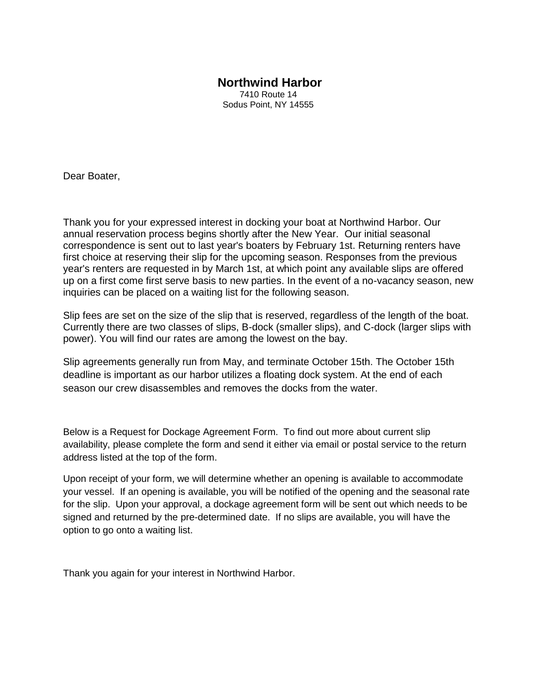## **Northwind Harbor**

7410 Route 14 Sodus Point, NY 14555

Dear Boater,

Thank you for your expressed interest in docking your boat at Northwind Harbor. Our annual reservation process begins shortly after the New Year. Our initial seasonal correspondence is sent out to last year's boaters by February 1st. Returning renters have first choice at reserving their slip for the upcoming season. Responses from the previous year's renters are requested in by March 1st, at which point any available slips are offered up on a first come first serve basis to new parties. In the event of a no-vacancy season, new inquiries can be placed on a waiting list for the following season.

Slip fees are set on the size of the slip that is reserved, regardless of the length of the boat. Currently there are two classes of slips, B-dock (smaller slips), and C-dock (larger slips with power). You will find our rates are among the lowest on the bay.

Slip agreements generally run from May, and terminate October 15th. The October 15th deadline is important as our harbor utilizes a floating dock system. At the end of each season our crew disassembles and removes the docks from the water.

Below is a Request for Dockage Agreement Form. To find out more about current slip availability, please complete the form and send it either via email or postal service to the return address listed at the top of the form.

Upon receipt of your form, we will determine whether an opening is available to accommodate your vessel. If an opening is available, you will be notified of the opening and the seasonal rate for the slip. Upon your approval, a dockage agreement form will be sent out which needs to be signed and returned by the pre-determined date. If no slips are available, you will have the option to go onto a waiting list.

Thank you again for your interest in Northwind Harbor.